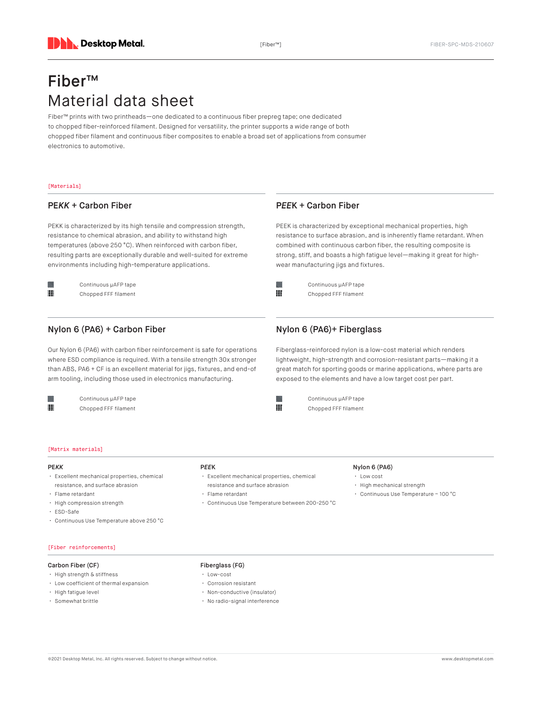# Fiber™ Material data sheet

Fiber™ prints with two printheads—one dedicated to a continuous fiber prepreg tape; one dedicated to chopped fiber-reinforced filament. Designed for versatility, the printer supports a wide range of both chopped fiber filament and continuous fiber composites to enable a broad set of applications from consumer electronics to automotive.

### [Materials]

### PE*KK* + Carbon Fiber

PEKK is characterized by its high tensile and compression strength, resistance to chemical abrasion, and ability to withstand high temperatures (above 250 °C). When reinforced with carbon fiber, resulting parts are exceptionally durable and well-suited for extreme environments including high-temperature applications.



Continuous µAFP tape Chopped FFF filament

# Nylon 6 (PA6) + Carbon Fiber

Our Nylon 6 (PA6) with carbon fiber reinforcement is safe for operations where ESD compliance is required. With a tensile strength 30x stronger than ABS, PA6 + CF is an excellent material for jigs, fixtures, and end-of arm tooling, including those used in electronics manufacturing.



Continuous µAFP tape Chopped FFF filament

- PE*KK* • Excellent mechanical properties, chemical resistance, and surface abrasion
- Flame retardant
- High compression strength

[Matrix materials]

- ESD-Safe
- Continuous Use Temperature above 250 °C
- P*EE*K
	- Excellent mechanical properties, chemical resistance and surface abrasion
	- Flame retardant
	- Continuous Use Temperature between 200-250 °C

### Nylon 6 (PA6)

- Low cost
- High mechanical strength
- Continuous Use Temperature ~ 100 °C

[Fiber reinforcements]

### Carbon Fiber (CF)

- High strength & stiffness
- Low coefficient of thermal expansion
- High fatigue level
- Somewhat brittle

### Fiberglass (FG)

- Low-cost
- Corrosion resistant
- Non-conductive (insulator)
- No radio-signal interference

P*EE*K + Carbon Fiber

PEEK is characterized by exceptional mechanical properties, high resistance to surface abrasion, and is inherently flame retardant. When combined with continuous carbon fiber, the resulting composite is strong, stiff, and boasts a high fatigue level—making it great for highwear manufacturing jigs and fixtures.

Continuous µAFP tape Chopped FFF filament

888

888

# Nylon 6 (PA6)+ Fiberglass

Continuous µAFP tape Chopped FFF filament

Fiberglass-reinforced nylon is a low-cost material which renders lightweight, high-strength and corrosion-resistant parts—making it a great match for sporting goods or marine applications, where parts are exposed to the elements and have a low target cost per part.